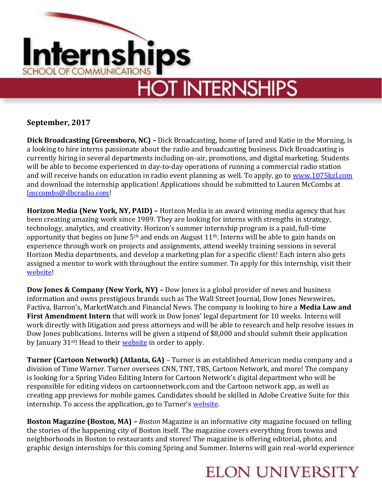

### **September, 2017**

**Dick Broadcasting (Greensboro, NC) –** Dick Broadcasting, home of Jared and Katie in the Morning, is a looking to hire interns passionate about the radio and broadcasting business. Dick Broadcasting is currently hiring in several departments including on-air, promotions, and digital marketing. Students will be able to become experienced in day-to-day operations of running a commercial radio station and will receive hands on education in radio event planning as well. To apply, go to [www.1075kzl.com](http://www.1075kzl.com/) and download the internship application! Applications should be submitted to Lauren McCombs at [lmccombs@dbcradio.com!](mailto:lmccombs@dbcradio.com)

**Horizon Media (New York, NY, PAID) –** Horizon Media is an award winning media agency that has been creating amazing work since 1989. They are looking for interns with strengths in strategy, technology, analytics, and creativity. Horizon's summer internship program is a paid, full-time opportunity that begins on June  $5<sup>th</sup>$  and ends on August  $11<sup>th</sup>$ . Interns will be able to gain hands on experience through work on projects and assignments, attend weekly training sessions in several Horizon Media departments, and develop a marketing plan for a specific client! Each intern also gets assigned a mentor to work with throughout the entire summer. To apply for this internship, visit their [website!](http://m.horizonmedia.com/we_are_hiring)

**Dow Jones & Company (New York, NY) –** Dow Jones is a global provider of news and business information and owns prestigious brands such as The Wall Street Journal, Dow Jones Newswires, Factiva, Barron's, MarketWatch and Financial News. The company is looking to hire a **Media Law and First Amendment Intern** that will work in Dow Jones' legal department for 10 weeks. Interns will work directly with litigation and press attorneys and will be able to research and help resolve issues in Dow Jones publications. Interns will be given a stipend of \$8,000 and should submit their application by January 31<sup>st!</sup> Head to their [website](http://dowjones-internships.jobs/new-york-ny/summer-2018-media-law-first-amendment-internship/0D2D73F8F495496284426E4EDE8AAE55/job/) in order to apply.

**Turner (Cartoon Network) (Atlanta, GA)** – Turner is an established American media company and a division of Time Warner. Turner oversees CNN, TNT, TBS, Cartoon Network, and more! The company is looking for a Spring Video Editing Intern for Cartoon Network's digital department who will be responsible for editing videos on cartoonnetwork.com and the Cartoon network app, as well as creating app previews for mobile games. Candidates should be skilled in Adobe Creative Suite for this internship. To access the application, go to Turner's [website.](http://www.chooseatl.com/opportunities/film-tv)

**Boston Magazine (Boston, MA) –** *Boston* Magazine is an informative city magazine focused on telling the stories of the happening city of Boston itself. The magazine covers everything from towns and neighborhoods in Boston to restaurants and stores! The magazine is offering editorial, photo, and graphic design internships for this coming Spring and Summer. Interns will gain real-world experience

## **ELON UNIVERSITY**